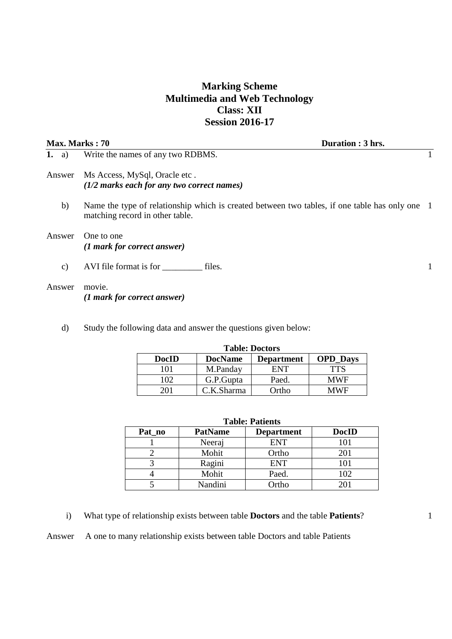# **Marking Scheme Multimedia and Web Technology Class: XII Session 2016-17**

| Duration : 3 hrs.<br><b>Max. Marks : 70</b> |                                                                                                                                   |  |
|---------------------------------------------|-----------------------------------------------------------------------------------------------------------------------------------|--|
| 1. a)                                       | Write the names of any two RDBMS.                                                                                                 |  |
| Answer                                      | Ms Access, MySql, Oracle etc.<br>$(1/2$ marks each for any two correct names)                                                     |  |
| b)                                          | Name the type of relationship which is created between two tables, if one table has only one 1<br>matching record in other table. |  |
| Answer                                      | One to one<br>(1 mark for correct answer)                                                                                         |  |
| $\mathbf{c})$                               | AVI file format is for<br>files.                                                                                                  |  |
| Answer                                      | movie.<br>(1 mark for correct answer)                                                                                             |  |

d) Study the following data and answer the questions given below:

| <b>Table: Doctors</b> |                |                   |                 |  |  |
|-----------------------|----------------|-------------------|-----------------|--|--|
| <b>DocID</b>          | <b>DocName</b> | <b>Department</b> | <b>OPD_Days</b> |  |  |
| 101                   | M.Panday       | <b>ENT</b>        | <b>TTS</b>      |  |  |
| 102                   | G.P.Gupta      | Paed.             | <b>MWF</b>      |  |  |
|                       | C.K.Sharma     | Ortho.            | MWF             |  |  |

| <b>Table: Patients</b> |                |                   |              |  |  |  |
|------------------------|----------------|-------------------|--------------|--|--|--|
| Pat_no                 | <b>PatName</b> | <b>Department</b> | <b>DocID</b> |  |  |  |
|                        | Neeraj         | <b>ENT</b>        | 101          |  |  |  |
|                        | Mohit          | Ortho             | 201          |  |  |  |
|                        | Ragini         | <b>ENT</b>        | 101          |  |  |  |
|                        | Mohit          | Paed.             | 102          |  |  |  |
|                        | Nandini        | Ortho             |              |  |  |  |

i) What type of relationship exists between table **Doctors** and the table **Patients**?

Answer A one to many relationship exists between table Doctors and table Patients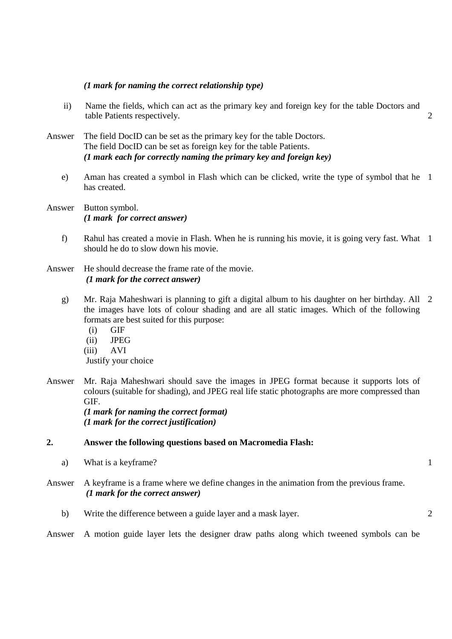#### *(1 mark for naming the correct relationship type)*

- ii) Name the fields, which can act as the primary key and foreign key for the table Doctors and table Patients respectively.
- Answer The field DocID can be set as the primary key for the table Doctors. The field DocID can be set as foreign key for the table Patients. *(1 mark each for correctly naming the primary key and foreign key)* 
	- e) Aman has created a symbol in Flash which can be clicked, write the type of symbol that he 1 has created.

Answer Button symbol. *(1 mark for correct answer)*

- f) Rahul has created a movie in Flash. When he is running his movie, it is going very fast. What 1 should he do to slow down his movie.
- Answer He should decrease the frame rate of the movie.  *(1 mark for the correct answer)* 
	- g) Mr. Raja Maheshwari is planning to gift a digital album to his daughter on her birthday. All 2 the images have lots of colour shading and are all static images. Which of the following formats are best suited for this purpose:
		- (i) GIF
		- (ii) JPEG
		- (iii) AVI

Justify your choice

Answer Mr. Raja Maheshwari should save the images in JPEG format because it supports lots of colours (suitable for shading), and JPEG real life static photographs are more compressed than GIF.

*(1 mark for naming the correct format) (1 mark for the correct justification)* 

#### **2. Answer the following questions based on Macromedia Flash:**

- a) What is a keyframe?
- Answer A keyframe is a frame where we define changes in the animation from the previous frame.  *(1 mark for the correct answer)* 
	- b) Write the difference between a guide layer and a mask layer. 2

Answer A motion guide layer lets the designer draw paths along which tweened symbols can be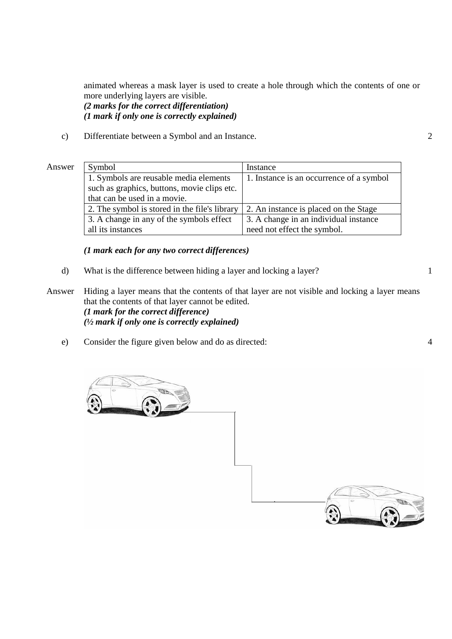animated whereas a mask layer is used to create a hole through which the contents of one or more underlying layers are visible.

*(2 marks for the correct differentiation) (1 mark if only one is correctly explained)* 

c) Differentiate between a Symbol and an Instance. 2

#### Answer Symbol Instance 1. Symbols are reusable media elements such as graphics, buttons, movie clips etc. that can be used in a movie. 1. Instance is an occurrence of a symbol 2. The symbol is stored in the file's library  $\vert$  2. An instance is placed on the Stage 3. A change in any of the symbols effect all its instances 3. A change in an individual instance need not effect the symbol.

*(1 mark each for any two correct differences)* 

- d) What is the difference between hiding a layer and locking a layer?
- Answer Hiding a layer means that the contents of that layer are not visible and locking a layer means that the contents of that layer cannot be edited. *(1 mark for the correct difference) (½ mark if only one is correctly explained)* 
	- e) Consider the figure given below and do as directed: 4

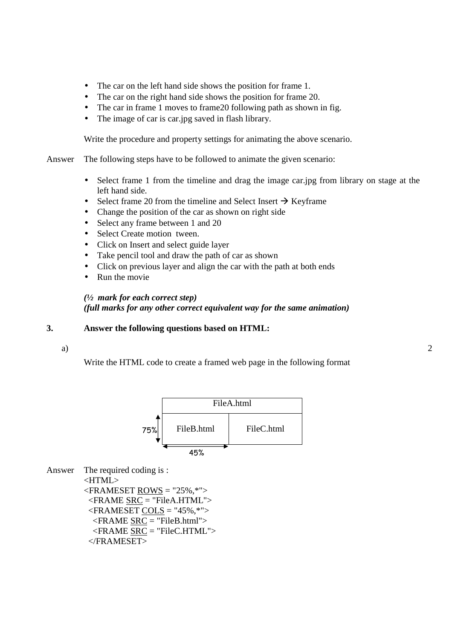- The car on the left hand side shows the position for frame 1.
- The car on the right hand side shows the position for frame 20.
- The car in frame 1 moves to frame 20 following path as shown in fig.
- The image of car is car.jpg saved in flash library.

Write the procedure and property settings for animating the above scenario.

Answer The following steps have to be followed to animate the given scenario:

- Select frame 1 from the timeline and drag the image car.jpg from library on stage at the left hand side.
- Select frame 20 from the timeline and Select Insert  $\rightarrow$  Keyframe
- Change the position of the car as shown on right side
- Select any frame between 1 and 20
- Select Create motion tween.
- Click on Insert and select guide layer
- Take pencil tool and draw the path of car as shown
- Click on previous layer and align the car with the path at both ends
- Run the movie

### *(½ mark for each correct step) (full marks for any other correct equivalent way for the same animation)*

### **3. Answer the following questions based on HTML:**

a)

Write the HTML code to create a framed web page in the following format



Answer The required coding is : <HTML>  $\langle$ FRAMESET ROWS = "25%,\*"> <FRAME SRC = "FileA.HTML">  $\langle$ FRAMESET COLS = "45%,\*">

 <FRAME SRC = "FileB.html">  $\leq$ FRAME  $SRC = "FileC.HTML"$ </FRAMESET>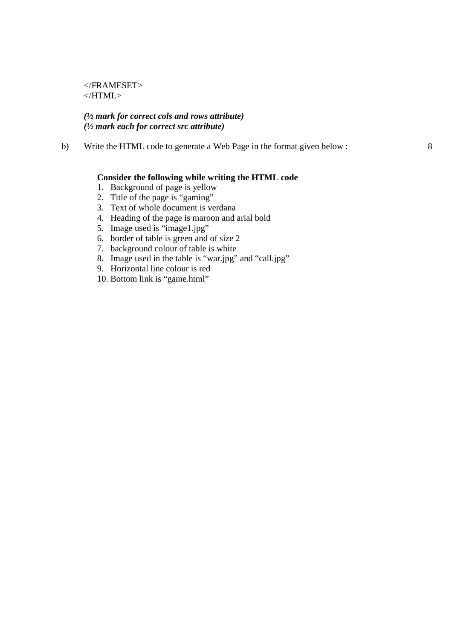</FRAMESET> </HTML>

### *(½ mark for correct cols and rows attribute) (½ mark each for correct src attribute)*

b) Write the HTML code to generate a Web Page in the format given below :

#### **Consider the following while writing the HTML code**

- 1. Background of page is yellow
- 2. Title of the page is "gaming"
- 3. Text of whole document is verdana
- 4. Heading of the page is maroon and arial bold
- 5. Image used is "image1.jpg"
- 6. border of table is green and of size 2
- 7. background colour of table is white
- 8. Image used in the table is "war.jpg" and "call.jpg"
- 9. Horizontal line colour is red
- 10. Bottom link is "game.html"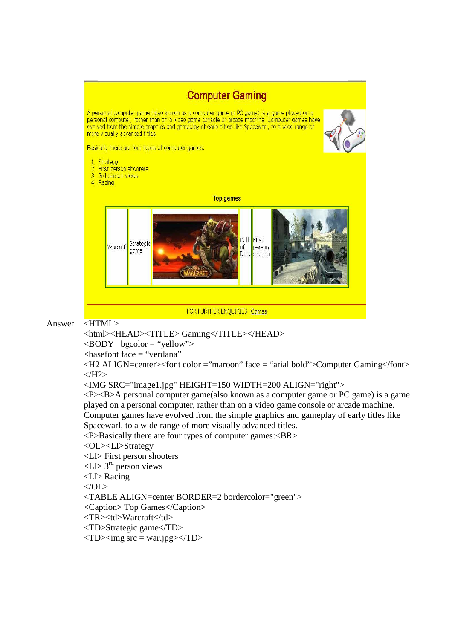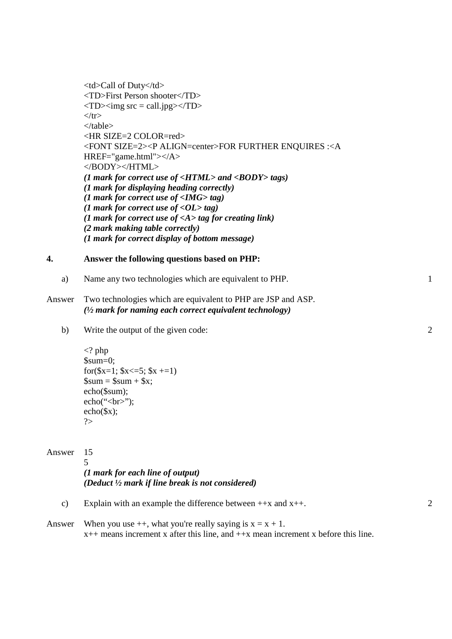<td>Call of Duty</td> <TD>First Person shooter</TD>  $\langle TD \rangle \langle img \, src = call.jpg \rangle \langle TD \rangle$  $\langle$ /tr $>$ </table> <HR SIZE=2 COLOR=red> <FONT SIZE=2><P ALIGN=center>FOR FURTHER ENQUIRES :<A HREF="game.html"></A> </BODY></HTML> *(1 mark for correct use of <HTML> and <BODY> tags) (1 mark for displaying heading correctly) (1 mark for correct use of <IMG> tag) (1 mark for correct use of <OL> tag) (1 mark for correct use of <A> tag for creating link) (2 mark making table correctly) (1 mark for correct display of bottom message)* 

### **4. Answer the following questions based on PHP:**

a) Name any two technologies which are equivalent to PHP. 1

### Answer Two technologies which are equivalent to PHP are JSP and ASP. *(½ mark for naming each correct equivalent technology)*

b) Write the output of the given code:

```
<? php 
$sum=0; 
for(x=1; x<-5; x+1)
\text{Sum} = \text{Sum} + \text{Sx};echo($sum); 
echo("<br/>*/>;
echo($x); 
?>
```
## Answer 15

5 *(1 mark for each line of output) (Deduct ½ mark if line break is not considered)* 

- c) Explain with an example the difference between  $+x$  and  $x++$ . 2
- Answer When you use  $++$ , what you're really saying is  $x = x + 1$ .  $x++$  means increment x after this line, and  $++x$  mean increment x before this line.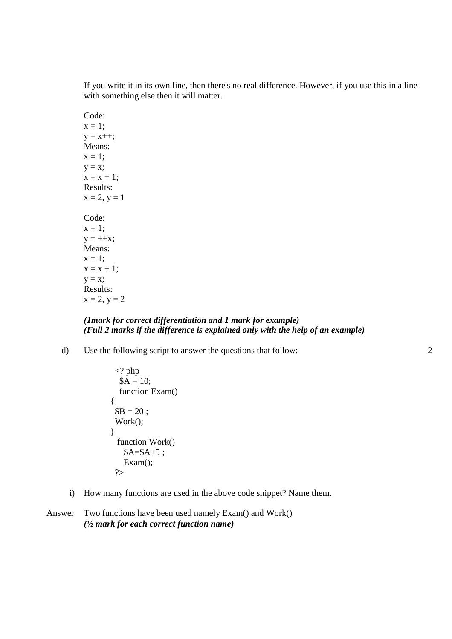If you write it in its own line, then there's no real difference. However, if you use this in a line with something else then it will matter.

Code:  $x = 1$ ;  $y = x++;$ Means:  $x = 1$ ;  $y = x;$  $x = x + 1$ ; Results:  $x = 2, y = 1$ Code:  $x = 1$ ;  $y = ++x;$ Means:  $x = 1$ ;  $x = x + 1;$  $y = x;$ Results:  $x = 2, y = 2$ 

### *(1mark for correct differentiation and 1 mark for example) (Full 2 marks if the difference is explained only with the help of an example)*

d) Use the following script to answer the questions that follow:

```
\langle? php
  $A = 10; function Exam() 
{ 
$B = 20: Work(); 
} 
  function Work() 
   A= $A+5;Exam();
  ?>
```
i) How many functions are used in the above code snippet? Name them.

```
Answer Two functions have been used namely Exam() and Work() 
         (½ mark for each correct function name)
```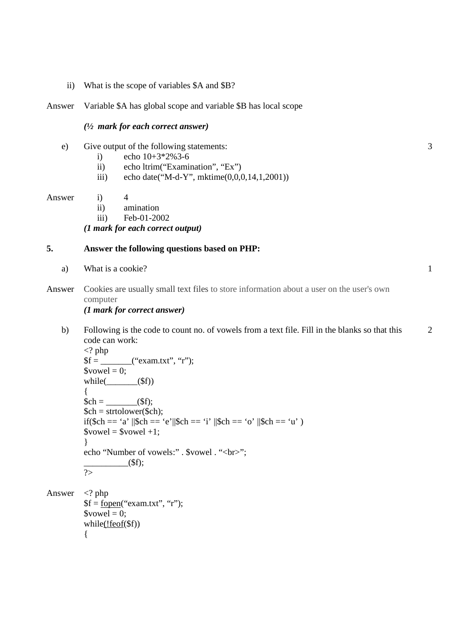- ii) What is the scope of variables \$A and \$B?
- Answer Variable \$A has global scope and variable \$B has local scope

#### *(½ mark for each correct answer)*

- e) Give output of the following statements:
	- i) echo  $10+3*2\%3-6$
	- ii) echo ltrim("Examination", "Ex")
	- iii) echo date("M-d-Y", mktime(0,0,0,14,1,2001))

#### Answer i) 4

- ii) amination
- iii) Feb-01-2002

#### *(1 mark for each correct output)*

### **5. Answer the following questions based on PHP:**

- a) What is a cookie?
- Answer Cookies are usually small text files to store information about a user on the user's own computer

### *(1 mark for correct answer)*

b) Following is the code to count no. of vowels from a text file. Fill in the blanks so that this code can work: 2

```
<? php 
$f = ("exam.txt", "r");
\text{S}vowel = 0:
while(\qquad($f))
{ 
$ch = _______($f); 
$ch = structlower(<math>$ch</math>);if($ch == 'a' ||$ch == 'e'||$ch == 'i' ||$ch == 'o' ||$ch == 'u')
$vowel = $vowel +1;} 
echo "Number of vowels:" . $vowel . "<br/>show";
       \qquad \qquad \text{(Sf)};
\overline{\gamma_{>}}
```

```
Answer \langle? php
           $f = fopen("exam.txt", "r");\text{S}vowel = 0;
           while(!feof($f))
           {
```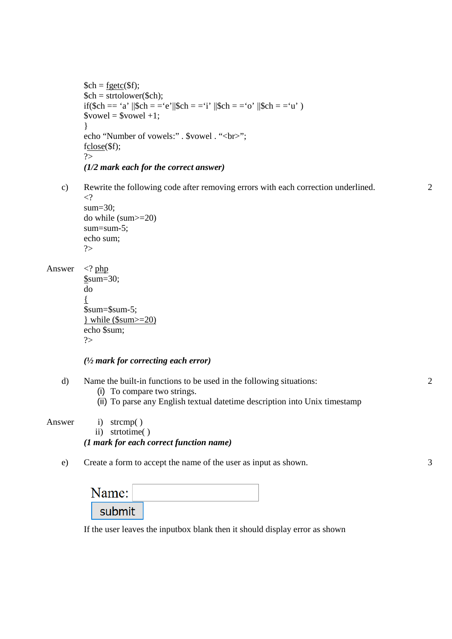```
\mathcal{S}ch = \underline{\mathbf{f}getc}(\mathcal{S}f);$ch = structlower($ch);if($ch == 'a' ||$ch = = 'e'||$ch = = 'i' ||$ch = = 'o' ||$ch = = 'u' )
$vowel = $vowel +1;} 
echo "Number of vowels:" . $vowel . "<br/>show";
fclose($f); 
?> 
(1/2 mark each for the correct answer)
```
c) Rewrite the following code after removing errors with each correction underlined.  $\langle$ ? sum=30;

```
do while (sum>=20) 
sum=sum-5; 
echo sum; 
?>
```
Answer <? php

\$sum=30; do  $\left\{ \right.$ \$sum=\$sum-5; } while (\$sum>=20) echo \$sum; ?>

### *(½ mark for correcting each error)*

- d) Name the built-in functions to be used in the following situations:
	- (i) To compare two strings.
	- (ii) To parse any English textual datetime description into Unix timestamp

Answer i) strcmp( )

ii) strtotime( )

### *(1 mark for each correct function name)*

e) Create a form to accept the name of the user as input as shown.

| \ame:  |  |
|--------|--|
| submit |  |

If the user leaves the inputbox blank then it should display error as shown

2

3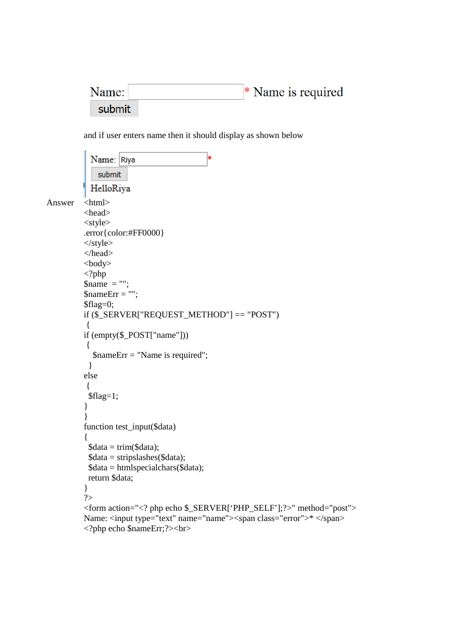\* Name is required Name: submit

and if user enters name then it should display as shown below

```
Name: Riya
               submit
             HelloRiya
Answer <html>
           <head> 
           <style> 
           .error{color:#FF0000} 
           \langlestyle\rangle</head> 
           <body> 
           \langle?php
           \text{Same} = \text{""};
          \text{ShameErr} = \text{""};$flag=0;if ($_SERVER["REQUEST_METHOD"] == "POST") 
           \{if (empty($_POST["name"])) 
            { 
              $nameErr = "Name is required"; 
             } 
          else 
            { 
             $flag=1; 
           } 
           } 
          function test_input($data) 
           { 
            \deltadata = trim(\deltadata);
            \delta data = stripslashes(\delta data); $data = htmlspecialchars($data); 
             return $data; 
           } 
           ?> 
           <form action="<? php echo $_SERVER['PHP_SELF'];?>" method="post"> 
          Name: <input type="text" name="name"><span class="error">* </span>
           <?php echo $nameErr;?><br>
```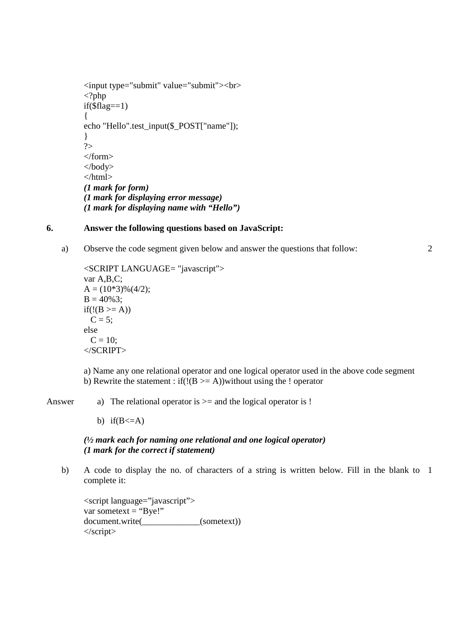```
<input type="submit" value="submit"><br> 
<?php 
if(\text{fflag}==1){ 
echo "Hello".test_input($_POST["name"]); 
} 
?> 
</form> 
</body> 
</html> 
(1 mark for form) 
(1 mark for displaying error message) 
(1 mark for displaying name with "Hello")
```
### **6. Answer the following questions based on JavaScript:**

a) Observe the code segment given below and answer the questions that follow:

```
<SCRIPT LANGUAGE= "javascript"> 
var A,B,C; 
A = (10*3)\%(4/2);B = 40\%3;
if(!(B >= A))C = 5;
else 
 C = 10;
</SCRIPT>
```
a) Name any one relational operator and one logical operator used in the above code segment b) Rewrite the statement : if( $!(B \ge A)$ )without using the ! operator

Answer a) The relational operator is  $\ge$  and the logical operator is !

b) if( $B \leq A$ )

### *(½ mark each for naming one relational and one logical operator) (1 mark for the correct if statement)*

b) A code to display the no. of characters of a string is written below. Fill in the blank to 1 complete it:

```
<script language="javascript"> 
var sometext = "Bye!"
document.write(_____________(sometext)) 
</script>
```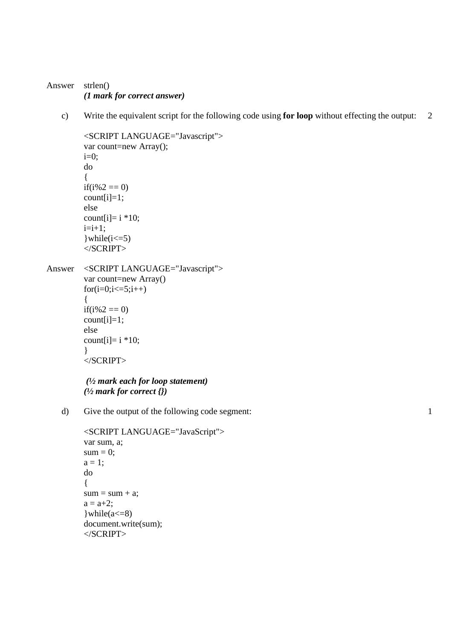### Answer strlen() *(1 mark for correct answer)*

c) Write the equivalent script for the following code using **for loop** without effecting the output: 2

```
<SCRIPT LANGUAGE="Javascript">
         var count=new Array(); 
         i=0;
         do 
         { 
         if(i%2 == 0)
         count[i]=1;else 
         count[i]= i * 10;
         i=i+1;}while(i \leq 5)
         </SCRIPT> 
Answer <SCRIPT LANGUAGE="Javascript"> 
         var count=new Array() 
         for(i=0;i<=5;i++){ 
         if(i%2 == 0)
         count[i]=1;else 
         count[i]= i * 10;
         } 
         </SCRIPT>
```

```
 (½ mark each for loop statement) 
(½ mark for correct {})
```
d) Give the output of the following code segment:

```
<SCRIPT LANGUAGE="JavaScript"> 
var sum, a; 
sum = 0;
a = 1;
do 
{ 
sum = sum + a;a = a + 2;\text{while}(a \leq -8)document.write(sum); 
</SCRIPT>
```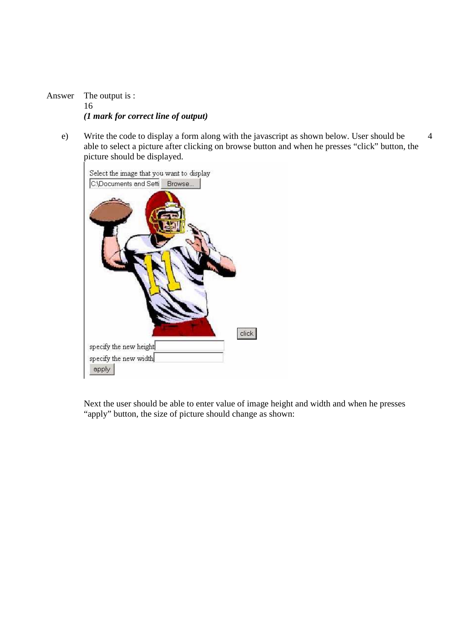Answer The output is : 16 *(1 mark for correct line of output)*

e) Write the code to display a form along with the javascript as shown below. User should be able to select a picture after clicking on browse button and when he presses "click" button, the picture should be displayed. 4



Next the user should be able to enter value of image height and width and when he presses "apply" button, the size of picture should change as shown: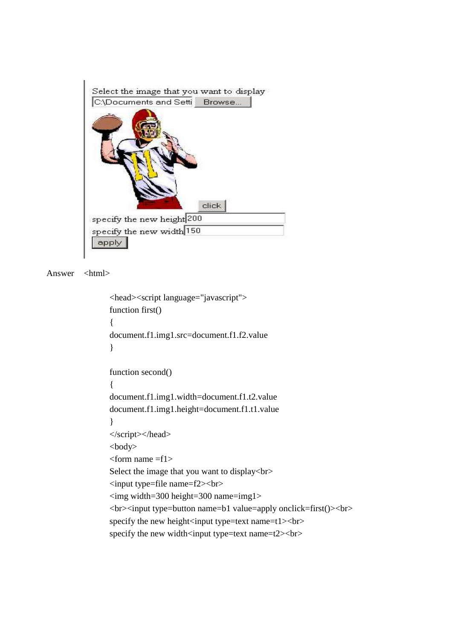

```
Answer <html>
```

```
 <head><script language="javascript"> 
 function first() 
 { 
 document.f1.img1.src=document.f1.f2.value 
 } 
function second()
 { 
 document.f1.img1.width=document.f1.t2.value 
 document.f1.img1.height=document.f1.t1.value 
 } 
 </script></head> 
 <body> 
 <form name =f1> 
 Select the image that you want to display<br> 
 <input type=file name=f2><br> 
\langleimg width=300 height=300 name=img1>
<br>>input type=button name=b1 value=apply onclick=first()><br>
specify the new height\langleinput type=text name=t1\rangle\langlebr\ranglespecify the new width<input type=text name=t2><br>
```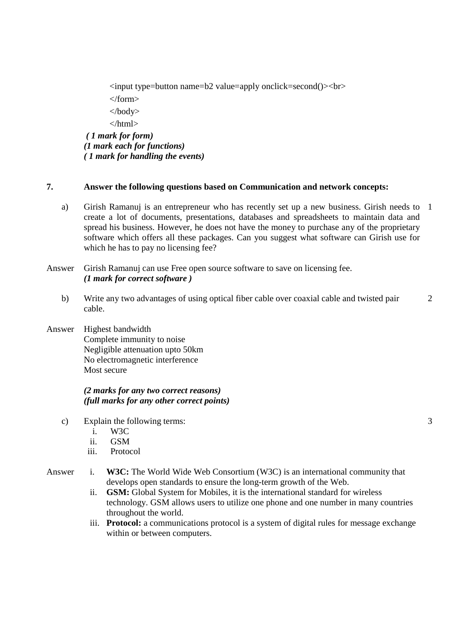<input type=button name=b2 value=apply onclick=second()><br> </form> </body> </html>  *( 1 mark for form) (1 mark each for functions) ( 1 mark for handling the events)* 

#### **7. Answer the following questions based on Communication and network concepts:**

a) Girish Ramanuj is an entrepreneur who has recently set up a new business. Girish needs to 1 create a lot of documents, presentations, databases and spreadsheets to maintain data and spread his business. However, he does not have the money to purchase any of the proprietary software which offers all these packages. Can you suggest what software can Girish use for which he has to pay no licensing fee?

Answer Girish Ramanuj can use Free open source software to save on licensing fee. *(1 mark for correct software )* 

- b) Write any two advantages of using optical fiber cable over coaxial cable and twisted pair cable.  $\mathfrak{D}$
- Answer Highest bandwidth Complete immunity to noise Negligible attenuation upto 50km No electromagnetic interference Most secure

#### *(2 marks for any two correct reasons) (full marks for any other correct points)*

- c) Explain the following terms:
	- i. W3C
	- ii. GSM
	- iii. Protocol

### Answer i. **W3C:** The World Wide Web Consortium (W3C) is an international community that develops open standards to ensure the long-term growth of the Web.

- ii. **GSM:** Global System for Mobiles, it is the international standard for wireless technology. GSM allows users to utilize one phone and one number in many countries throughout the world.
- iii. **Protocol:** a communications protocol is a system of digital rules for message exchange within or between computers.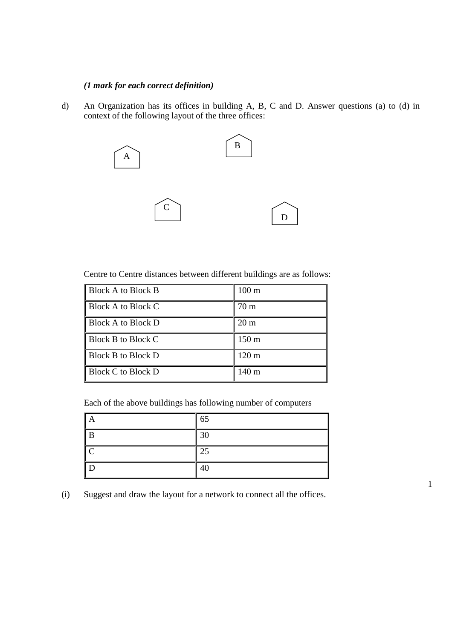## *(1 mark for each correct definition)*

d) An Organization has its offices in building A, B, C and D. Answer questions (a) to (d) in context of the following layout of the three offices:



Centre to Centre distances between different buildings are as follows:

| <b>Block A to Block B</b> | $100 \text{ m}$  |
|---------------------------|------------------|
| <b>Block A to Block C</b> | 70 <sub>m</sub>  |
| Block A to Block D        | $20 \text{ m}$   |
| Block B to Block C        | $150 \text{ m}$  |
| <b>Block B to Block D</b> | $120 \text{ m}$  |
| <b>Block C to Block D</b> | 140 <sub>m</sub> |

Each of the above buildings has following number of computers

| A                       | $\vert$ 65 |
|-------------------------|------------|
| B                       | 30         |
| $\overline{\mathsf{C}}$ | $\vert$ 25 |
| $\mid$ D                | 40         |

1

(i) Suggest and draw the layout for a network to connect all the offices.